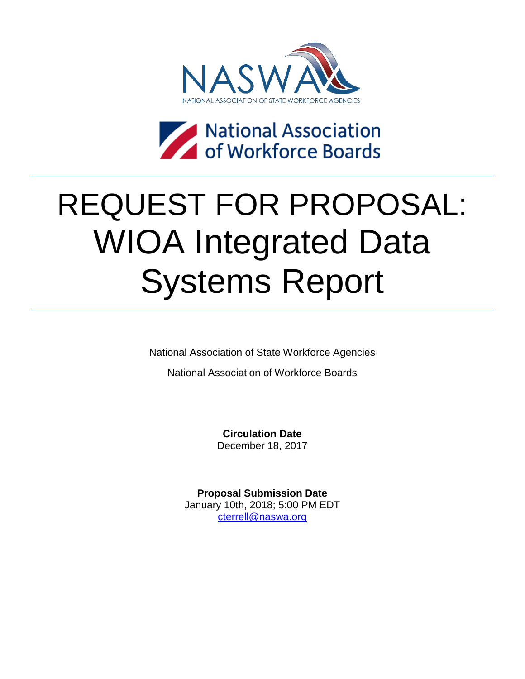



# REQUEST FOR PROPOSAL: WIOA Integrated Data Systems Report

National Association of State Workforce Agencies

National Association of Workforce Boards

**Circulation Date** December 18, 2017

**Proposal Submission Date** January 10th, 2018; 5:00 PM EDT [cterrell@naswa.org](mailto:cterrell@naswa.org)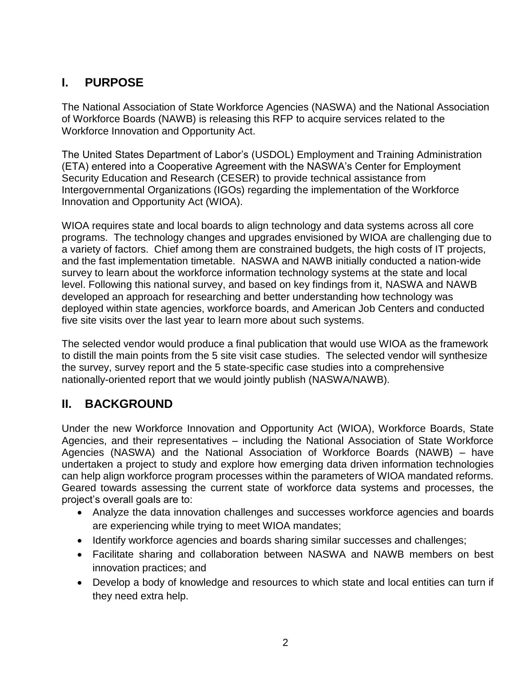# **I. PURPOSE**

The National Association of State Workforce Agencies (NASWA) and the National Association of Workforce Boards (NAWB) is releasing this RFP to acquire services related to the Workforce Innovation and Opportunity Act.

The United States Department of Labor's (USDOL) Employment and Training Administration (ETA) entered into a Cooperative Agreement with the NASWA's Center for Employment Security Education and Research (CESER) to provide technical assistance from Intergovernmental Organizations (IGOs) regarding the implementation of the Workforce Innovation and Opportunity Act (WIOA).

WIOA requires state and local boards to align technology and data systems across all core programs. The technology changes and upgrades envisioned by WIOA are challenging due to a variety of factors. Chief among them are constrained budgets, the high costs of IT projects, and the fast implementation timetable. NASWA and NAWB initially conducted a nation-wide survey to learn about the workforce information technology systems at the state and local level. Following this national survey, and based on key findings from it, NASWA and NAWB developed an approach for researching and better understanding how technology was deployed within state agencies, workforce boards, and American Job Centers and conducted five site visits over the last year to learn more about such systems.

The selected vendor would produce a final publication that would use WIOA as the framework to distill the main points from the 5 site visit case studies. The selected vendor will synthesize the survey, survey report and the 5 state-specific case studies into a comprehensive nationally-oriented report that we would jointly publish (NASWA/NAWB).

# **II. BACKGROUND**

Under the new Workforce Innovation and Opportunity Act (WIOA), Workforce Boards, State Agencies, and their representatives – including the National Association of State Workforce Agencies (NASWA) and the National Association of Workforce Boards (NAWB) – have undertaken a project to study and explore how emerging data driven information technologies can help align workforce program processes within the parameters of WIOA mandated reforms. Geared towards assessing the current state of workforce data systems and processes, the project's overall goals are to:

- Analyze the data innovation challenges and successes workforce agencies and boards are experiencing while trying to meet WIOA mandates;
- Identify workforce agencies and boards sharing similar successes and challenges;
- Facilitate sharing and collaboration between NASWA and NAWB members on best innovation practices; and
- Develop a body of knowledge and resources to which state and local entities can turn if they need extra help.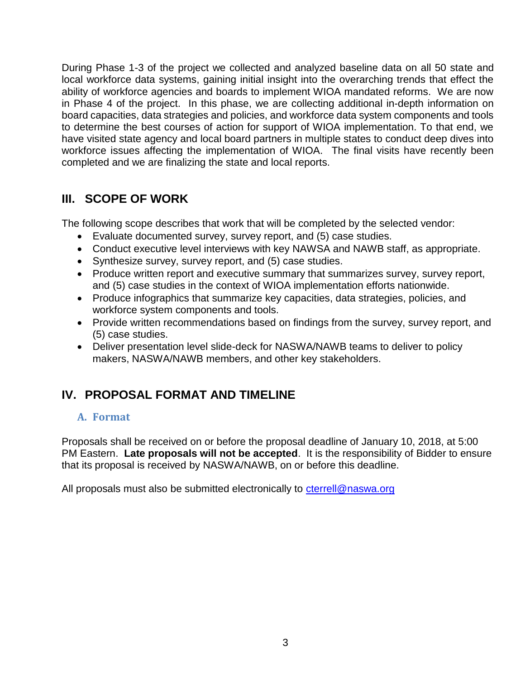During Phase 1-3 of the project we collected and analyzed baseline data on all 50 state and local workforce data systems, gaining initial insight into the overarching trends that effect the ability of workforce agencies and boards to implement WIOA mandated reforms. We are now in Phase 4 of the project. In this phase, we are collecting additional in-depth information on board capacities, data strategies and policies, and workforce data system components and tools to determine the best courses of action for support of WIOA implementation. To that end, we have visited state agency and local board partners in multiple states to conduct deep dives into workforce issues affecting the implementation of WIOA. The final visits have recently been completed and we are finalizing the state and local reports.

## **III. SCOPE OF WORK**

The following scope describes that work that will be completed by the selected vendor:

- Evaluate documented survey, survey report, and (5) case studies.
- Conduct executive level interviews with key NAWSA and NAWB staff, as appropriate.
- Synthesize survey, survey report, and (5) case studies.
- Produce written report and executive summary that summarizes survey, survey report, and (5) case studies in the context of WIOA implementation efforts nationwide.
- Produce infographics that summarize key capacities, data strategies, policies, and workforce system components and tools.
- Provide written recommendations based on findings from the survey, survey report, and (5) case studies.
- Deliver presentation level slide-deck for NASWA/NAWB teams to deliver to policy makers, NASWA/NAWB members, and other key stakeholders.

# **IV. PROPOSAL FORMAT AND TIMELINE**

### **A. Format**

Proposals shall be received on or before the proposal deadline of January 10, 2018, at 5:00 PM Eastern. **Late proposals will not be accepted**. It is the responsibility of Bidder to ensure that its proposal is received by NASWA/NAWB, on or before this deadline.

All proposals must also be submitted electronically to [cterrell@naswa.org](mailto:cterrell@naswa.org)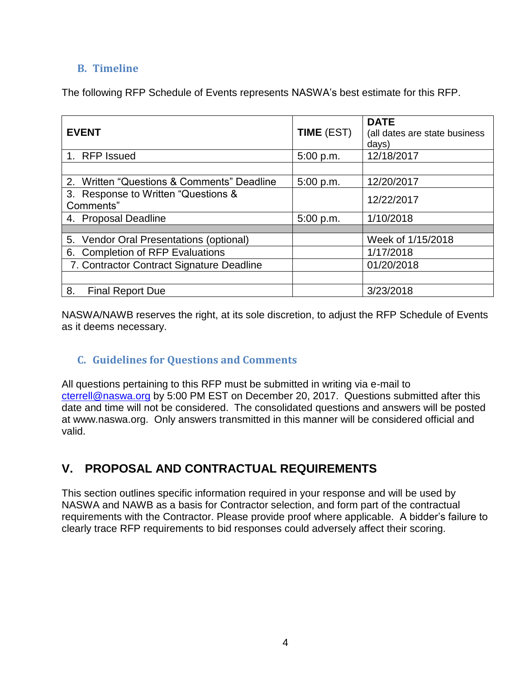## **B. Timeline**

The following RFP Schedule of Events represents NASWA's best estimate for this RFP.

| <b>EVENT</b>                                     | <b>TIME (EST)</b> | <b>DATE</b><br>(all dates are state business<br>days) |
|--------------------------------------------------|-------------------|-------------------------------------------------------|
| 1. RFP Issued                                    | 5:00 p.m.         | 12/18/2017                                            |
|                                                  |                   |                                                       |
| 2. Written "Questions & Comments" Deadline       | 5:00 p.m.         | 12/20/2017                                            |
| 3. Response to Written "Questions &<br>Comments" |                   | 12/22/2017                                            |
| 4. Proposal Deadline                             | 5:00 p.m.         | 1/10/2018                                             |
|                                                  |                   |                                                       |
| 5. Vendor Oral Presentations (optional)          |                   | Week of 1/15/2018                                     |
| 6. Completion of RFP Evaluations                 |                   | 1/17/2018                                             |
| 7. Contractor Contract Signature Deadline        |                   | 01/20/2018                                            |
|                                                  |                   |                                                       |
| 8.<br><b>Final Report Due</b>                    |                   | 3/23/2018                                             |

NASWA/NAWB reserves the right, at its sole discretion, to adjust the RFP Schedule of Events as it deems necessary.

## **C. Guidelines for Questions and Comments**

All questions pertaining to this RFP must be submitted in writing via e-mail to [cterrell@naswa.org](mailto:cterrell@naswa.org) by 5:00 PM EST on December 20, 2017. Questions submitted after this date and time will not be considered. The consolidated questions and answers will be posted at www.naswa.org. Only answers transmitted in this manner will be considered official and valid.

# **V. PROPOSAL AND CONTRACTUAL REQUIREMENTS**

This section outlines specific information required in your response and will be used by NASWA and NAWB as a basis for Contractor selection, and form part of the contractual requirements with the Contractor. Please provide proof where applicable. A bidder's failure to clearly trace RFP requirements to bid responses could adversely affect their scoring.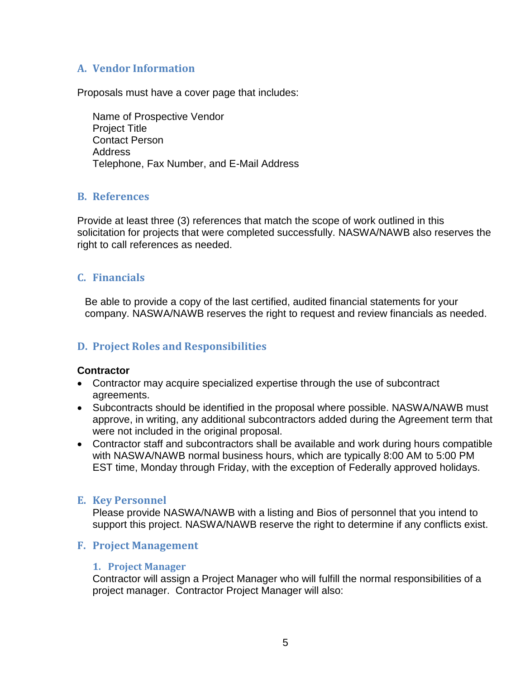### **A. Vendor Information**

Proposals must have a cover page that includes:

Name of Prospective Vendor Project Title Contact Person Address Telephone, Fax Number, and E-Mail Address

#### **B. References**

Provide at least three (3) references that match the scope of work outlined in this solicitation for projects that were completed successfully. NASWA/NAWB also reserves the right to call references as needed.

### **C. Financials**

Be able to provide a copy of the last certified, audited financial statements for your company. NASWA/NAWB reserves the right to request and review financials as needed.

### **D. Project Roles and Responsibilities**

#### **Contractor**

- Contractor may acquire specialized expertise through the use of subcontract agreements.
- Subcontracts should be identified in the proposal where possible. NASWA/NAWB must approve, in writing, any additional subcontractors added during the Agreement term that were not included in the original proposal.
- Contractor staff and subcontractors shall be available and work during hours compatible with NASWA/NAWB normal business hours, which are typically 8:00 AM to 5:00 PM EST time, Monday through Friday, with the exception of Federally approved holidays.

#### **E. Key Personnel**

Please provide NASWA/NAWB with a listing and Bios of personnel that you intend to support this project. NASWA/NAWB reserve the right to determine if any conflicts exist.

#### **F. Project Management**

#### **1. Project Manager**

Contractor will assign a Project Manager who will fulfill the normal responsibilities of a project manager. Contractor Project Manager will also: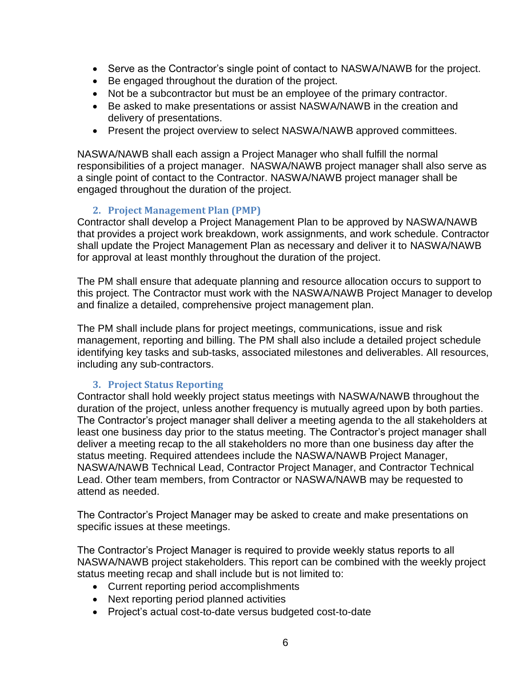- Serve as the Contractor's single point of contact to NASWA/NAWB for the project.
- Be engaged throughout the duration of the project.
- Not be a subcontractor but must be an employee of the primary contractor.
- Be asked to make presentations or assist NASWA/NAWB in the creation and delivery of presentations.
- Present the project overview to select NASWA/NAWB approved committees.

NASWA/NAWB shall each assign a Project Manager who shall fulfill the normal responsibilities of a project manager. NASWA/NAWB project manager shall also serve as a single point of contact to the Contractor. NASWA/NAWB project manager shall be engaged throughout the duration of the project.

#### **2. Project Management Plan (PMP)**

Contractor shall develop a Project Management Plan to be approved by NASWA/NAWB that provides a project work breakdown, work assignments, and work schedule. Contractor shall update the Project Management Plan as necessary and deliver it to NASWA/NAWB for approval at least monthly throughout the duration of the project.

The PM shall ensure that adequate planning and resource allocation occurs to support to this project. The Contractor must work with the NASWA/NAWB Project Manager to develop and finalize a detailed, comprehensive project management plan.

The PM shall include plans for project meetings, communications, issue and risk management, reporting and billing. The PM shall also include a detailed project schedule identifying key tasks and sub-tasks, associated milestones and deliverables. All resources, including any sub-contractors.

#### **3. Project Status Reporting**

Contractor shall hold weekly project status meetings with NASWA/NAWB throughout the duration of the project, unless another frequency is mutually agreed upon by both parties. The Contractor's project manager shall deliver a meeting agenda to the all stakeholders at least one business day prior to the status meeting. The Contractor's project manager shall deliver a meeting recap to the all stakeholders no more than one business day after the status meeting. Required attendees include the NASWA/NAWB Project Manager, NASWA/NAWB Technical Lead, Contractor Project Manager, and Contractor Technical Lead. Other team members, from Contractor or NASWA/NAWB may be requested to attend as needed.

The Contractor's Project Manager may be asked to create and make presentations on specific issues at these meetings.

The Contractor's Project Manager is required to provide weekly status reports to all NASWA/NAWB project stakeholders. This report can be combined with the weekly project status meeting recap and shall include but is not limited to:

- Current reporting period accomplishments
- Next reporting period planned activities
- Project's actual cost-to-date versus budgeted cost-to-date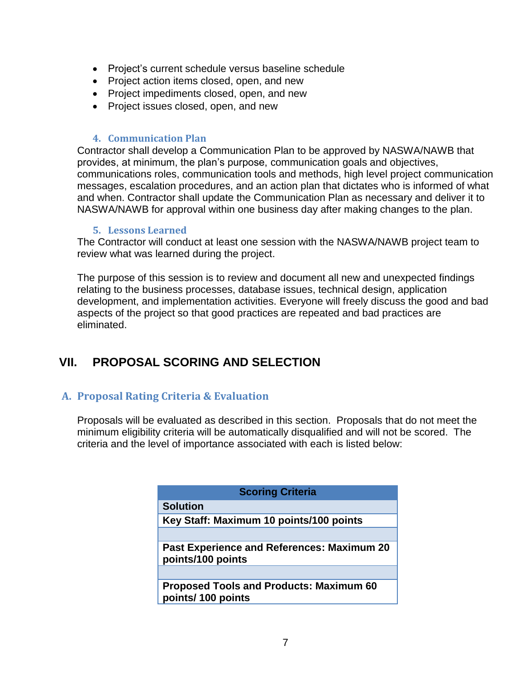- Project's current schedule versus baseline schedule
- Project action items closed, open, and new
- Project impediments closed, open, and new
- Project issues closed, open, and new

#### **4. Communication Plan**

Contractor shall develop a Communication Plan to be approved by NASWA/NAWB that provides, at minimum, the plan's purpose, communication goals and objectives, communications roles, communication tools and methods, high level project communication messages, escalation procedures, and an action plan that dictates who is informed of what and when. Contractor shall update the Communication Plan as necessary and deliver it to NASWA/NAWB for approval within one business day after making changes to the plan.

#### **5. Lessons Learned**

The Contractor will conduct at least one session with the NASWA/NAWB project team to review what was learned during the project.

The purpose of this session is to review and document all new and unexpected findings relating to the business processes, database issues, technical design, application development, and implementation activities. Everyone will freely discuss the good and bad aspects of the project so that good practices are repeated and bad practices are eliminated.

## **VII. PROPOSAL SCORING AND SELECTION**

#### **A. Proposal Rating Criteria & Evaluation**

Proposals will be evaluated as described in this section. Proposals that do not meet the minimum eligibility criteria will be automatically disqualified and will not be scored. The criteria and the level of importance associated with each is listed below:

| <b>Scoring Criteria</b>                                                |  |  |
|------------------------------------------------------------------------|--|--|
| <b>Solution</b>                                                        |  |  |
| Key Staff: Maximum 10 points/100 points                                |  |  |
|                                                                        |  |  |
| <b>Past Experience and References: Maximum 20</b><br>points/100 points |  |  |
|                                                                        |  |  |
| <b>Proposed Tools and Products: Maximum 60</b><br>points/100 points    |  |  |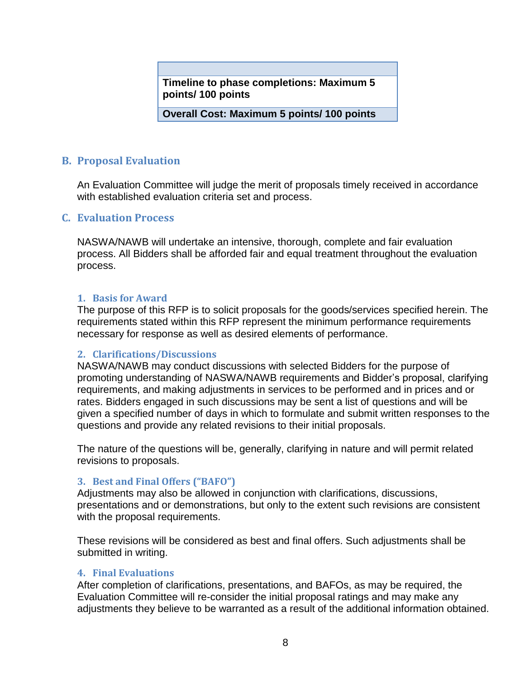**Timeline to phase completions: Maximum 5 points/ 100 points**

**Overall Cost: Maximum 5 points/ 100 points**

#### **B. Proposal Evaluation**

An Evaluation Committee will judge the merit of proposals timely received in accordance with established evaluation criteria set and process.

#### **C. Evaluation Process**

NASWA/NAWB will undertake an intensive, thorough, complete and fair evaluation process. All Bidders shall be afforded fair and equal treatment throughout the evaluation process.

#### **1. Basis for Award**

The purpose of this RFP is to solicit proposals for the goods/services specified herein. The requirements stated within this RFP represent the minimum performance requirements necessary for response as well as desired elements of performance.

#### **2. Clarifications/Discussions**

NASWA/NAWB may conduct discussions with selected Bidders for the purpose of promoting understanding of NASWA/NAWB requirements and Bidder's proposal, clarifying requirements, and making adjustments in services to be performed and in prices and or rates. Bidders engaged in such discussions may be sent a list of questions and will be given a specified number of days in which to formulate and submit written responses to the questions and provide any related revisions to their initial proposals.

The nature of the questions will be, generally, clarifying in nature and will permit related revisions to proposals.

#### **3. Best and Final Offers ("BAFO")**

Adjustments may also be allowed in conjunction with clarifications, discussions, presentations and or demonstrations, but only to the extent such revisions are consistent with the proposal requirements.

These revisions will be considered as best and final offers. Such adjustments shall be submitted in writing.

#### **4. Final Evaluations**

After completion of clarifications, presentations, and BAFOs, as may be required, the Evaluation Committee will re-consider the initial proposal ratings and may make any adjustments they believe to be warranted as a result of the additional information obtained.